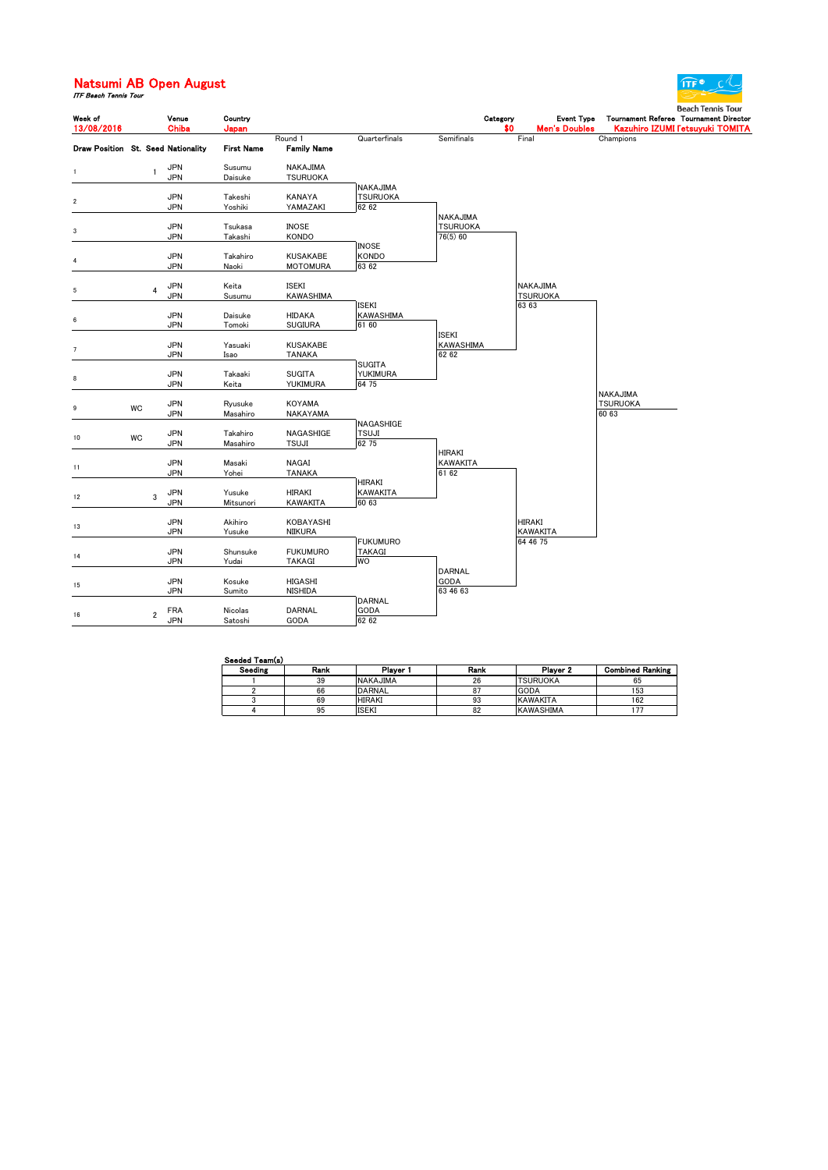## **Natsumi AB Open August**<br>*ITF Beach Tennis Tour*



| Week of      |    | Venue                              | Country            |                                    |                           |                         | Category | <b>Event Type</b>    | Tournament Referee Tournament Director | Beach Tennis Tour |  |
|--------------|----|------------------------------------|--------------------|------------------------------------|---------------------------|-------------------------|----------|----------------------|----------------------------------------|-------------------|--|
| 13/08/2016   |    | Chiba                              | Japan              |                                    |                           |                         | \$0      | <b>Men's Doubles</b> | Kazuhiro IZUMI Fetsuyuki TOMITA        |                   |  |
|              |    | Draw Position St. Seed Nationality | <b>First Name</b>  | Round 1<br><b>Family Name</b>      | Quarterfinals             | Semifinals              |          | Final                | Champions                              |                   |  |
| $\mathbf{1}$ |    | <b>JPN</b><br>1                    | Susumu             | NAKAJIMA                           |                           |                         |          |                      |                                        |                   |  |
|              |    | <b>JPN</b>                         | Daisuke            | <b>TSURUOKA</b>                    |                           |                         |          |                      |                                        |                   |  |
|              |    |                                    |                    |                                    | NAKAJIMA                  |                         |          |                      |                                        |                   |  |
| $\sqrt{2}$   |    | <b>JPN</b><br><b>JPN</b>           | Takeshi<br>Yoshiki | KANAYA<br>YAMAZAKI                 | <b>TSURUOKA</b><br>62 62  |                         |          |                      |                                        |                   |  |
|              |    |                                    |                    |                                    |                           | <b>NAKAJIMA</b>         |          |                      |                                        |                   |  |
| 3            |    | <b>JPN</b>                         | Tsukasa            | <b>INOSE</b>                       |                           | <b>TSURUOKA</b>         |          |                      |                                        |                   |  |
|              |    | <b>JPN</b>                         | Takashi            | <b>KONDO</b>                       |                           | 76(5) 60                |          |                      |                                        |                   |  |
|              |    |                                    |                    |                                    | <b>INOSE</b>              |                         |          |                      |                                        |                   |  |
| 4            |    | <b>JPN</b><br><b>JPN</b>           | Takahiro<br>Naoki  | <b>KUSAKABE</b><br><b>MOTOMURA</b> | <b>KONDO</b><br>63 62     |                         |          |                      |                                        |                   |  |
|              |    |                                    |                    |                                    |                           |                         |          |                      |                                        |                   |  |
| 5            |    | <b>JPN</b><br>$\overline{4}$       | Keita              | <b>ISEKI</b>                       |                           |                         |          | NAKAJIMA             |                                        |                   |  |
|              |    | JPN                                | Susumu             | KAWASHIMA                          |                           |                         |          | <b>TSURUOKA</b>      |                                        |                   |  |
|              |    | <b>JPN</b>                         |                    |                                    | <b>ISEKI</b>              |                         |          | 63 63                |                                        |                   |  |
| 6            |    | <b>JPN</b>                         | Daisuke<br>Tomoki  | <b>HIDAKA</b><br><b>SUGIURA</b>    | KAWASHIMA<br>61 60        |                         |          |                      |                                        |                   |  |
|              |    |                                    |                    |                                    |                           | ISEKI                   |          |                      |                                        |                   |  |
| 7            |    | <b>JPN</b>                         | Yasuaki            | <b>KUSAKABE</b>                    |                           | <b>KAWASHIMA</b>        |          |                      |                                        |                   |  |
|              |    | <b>JPN</b>                         | Isao               | <b>TANAKA</b>                      |                           | 62 62                   |          |                      |                                        |                   |  |
|              |    | <b>JPN</b>                         | Takaaki            | <b>SUGITA</b>                      | <b>SUGITA</b><br>YUKIMURA |                         |          |                      |                                        |                   |  |
| 8            |    | <b>JPN</b>                         | Keita              | YUKIMURA                           | 64 75                     |                         |          |                      |                                        |                   |  |
|              |    |                                    |                    |                                    |                           |                         |          |                      | NAKAJIMA                               |                   |  |
| 9            | WC | <b>JPN</b>                         | Ryusuke            | <b>KOYAMA</b>                      |                           |                         |          |                      | <b>TSURUOKA</b>                        |                   |  |
|              |    | JPN                                | Masahiro           | NAKAYAMA                           |                           |                         |          |                      | 60 63                                  |                   |  |
|              |    | <b>JPN</b>                         | Takahiro           | NAGASHIGE                          | NAGASHIGE<br>TSUJI        |                         |          |                      |                                        |                   |  |
| 10           | WC | <b>JPN</b>                         | Masahiro           | <b>TSUJI</b>                       | 62 75                     |                         |          |                      |                                        |                   |  |
|              |    |                                    |                    |                                    |                           | <b>HIRAKI</b>           |          |                      |                                        |                   |  |
| 11           |    | <b>JPN</b>                         | Masaki             | NAGAI                              |                           | <b>KAWAKITA</b>         |          |                      |                                        |                   |  |
|              |    | <b>JPN</b>                         | Yohei              | <b>TANAKA</b>                      | HIRAKI                    | 61 62                   |          |                      |                                        |                   |  |
|              |    | <b>JPN</b>                         | Yusuke             | HIRAKI                             | <b>KAWAKITA</b>           |                         |          |                      |                                        |                   |  |
| 12           |    | 3<br><b>JPN</b>                    | Mitsunori          | <b>KAWAKITA</b>                    | 60 63                     |                         |          |                      |                                        |                   |  |
|              |    |                                    |                    |                                    |                           |                         |          |                      |                                        |                   |  |
| 13           |    | <b>JPN</b><br><b>JPN</b>           | Akihiro            | KOBAYASHI                          |                           |                         |          | <b>HIRAKI</b>        |                                        |                   |  |
|              |    |                                    | Yusuke             | NIIKURA                            | <b>FUKUMURO</b>           |                         |          | KAWAKITA<br>64 46 75 |                                        |                   |  |
|              |    | <b>JPN</b>                         | Shunsuke           | <b>FUKUMURO</b>                    | TAKAGI                    |                         |          |                      |                                        |                   |  |
| 14           |    | <b>JPN</b>                         | Yudai              | <b>TAKAGI</b>                      | WO                        |                         |          |                      |                                        |                   |  |
|              |    |                                    |                    |                                    |                           | <b>DARNAL</b>           |          |                      |                                        |                   |  |
| 15           |    | <b>JPN</b><br><b>JPN</b>           | Kosuke<br>Sumito   | HIGASHI<br><b>NISHIDA</b>          |                           | <b>GODA</b><br>63 46 63 |          |                      |                                        |                   |  |
|              |    |                                    |                    |                                    | <b>DARNAL</b>             |                         |          |                      |                                        |                   |  |
| 16           |    | <b>FRA</b><br>$\overline{2}$       | Nicolas            | <b>DARNAL</b>                      | GODA                      |                         |          |                      |                                        |                   |  |
|              |    | <b>JPN</b>                         | Satoshi            | GODA                               | 62 62                     |                         |          |                      |                                        |                   |  |

| Seeded Team(s) |      |                 |      |                  |                         |  |  |  |  |  |
|----------------|------|-----------------|------|------------------|-------------------------|--|--|--|--|--|
| Seeding        | Rank | Plaver 1        | Rank | Player 2         | <b>Combined Ranking</b> |  |  |  |  |  |
|                | 39   | <b>NAKAJIMA</b> | 26   | <b>TSURUOKA</b>  | 65                      |  |  |  |  |  |
|                | 66   | DARNAL          |      | <b>GODA</b>      | 153                     |  |  |  |  |  |
|                | 69   | <b>HIRAKI</b>   | 93   | <b>KAWAKITA</b>  | 162                     |  |  |  |  |  |
|                | 95   | <b>ISEKI</b>    | 82   | <b>KAWASHIMA</b> |                         |  |  |  |  |  |